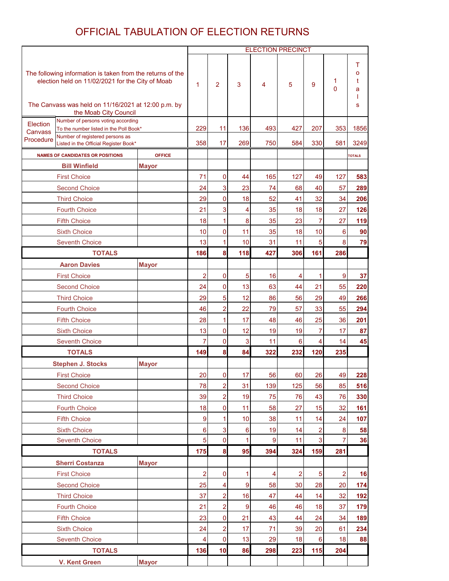#### OFFICIAL TABULATION OF ELECTION RETURNS

|                                                                                                                |                                                                              |               | <b>ELECTION PRECINCT</b> |                |                 |          |                         |                     |                  |               |
|----------------------------------------------------------------------------------------------------------------|------------------------------------------------------------------------------|---------------|--------------------------|----------------|-----------------|----------|-------------------------|---------------------|------------------|---------------|
| The following information is taken from the returns of the<br>election held on 11/02/2021 for the City of Moab |                                                                              | $\mathbf{1}$  | $\overline{2}$           | 3              | 4               | 5        | 9                       | 1<br>$\overline{0}$ | т<br>о<br>t<br>a |               |
|                                                                                                                | The Canvass was held on 11/16/2021 at 12:00 p.m. by<br>the Moab City Council |               |                          |                |                 |          |                         |                     |                  | S             |
| Number of persons voting according<br>Election                                                                 |                                                                              |               |                          |                |                 |          |                         |                     |                  |               |
| Canvass                                                                                                        | To the number listed in the Poll Book*<br>Number of registered persons as    |               | 229                      | 11             | 136             | 493      | 427                     | 207                 | 353              | 1856          |
| Procedure<br>Listed in the Official Register Book*                                                             |                                                                              |               | 358                      | 17             | 269             | 750      | 584                     | 330                 | 581              | 3249          |
|                                                                                                                | <b>NAMES OF CANDIDATES OR POSITIONS</b>                                      | <b>OFFICE</b> |                          |                |                 |          |                         |                     |                  | <b>TOTALS</b> |
|                                                                                                                | <b>Bill Winfield</b>                                                         | <b>Mayor</b>  |                          |                |                 |          |                         |                     |                  |               |
|                                                                                                                | <b>First Choice</b>                                                          |               | 71                       | 0              | 44              | 165      | 127                     | 49                  | 127              | 583           |
|                                                                                                                | <b>Second Choice</b>                                                         |               | 24                       | 3              | 23              | 74       | 68                      | 40                  | 57               | 289           |
|                                                                                                                | <b>Third Choice</b>                                                          |               | 29                       | 0              | 18              | 52       | 41                      | 32                  | 34               | 206           |
|                                                                                                                | <b>Fourth Choice</b>                                                         |               | 21                       | 3<br>1         | 4               | 35       | 18                      | 18                  | 27               | 126           |
|                                                                                                                | <b>Fifth Choice</b>                                                          |               | 18<br>10                 |                | 8               | 35       | 23                      | $\overline{7}$      | 27               | 119           |
|                                                                                                                | <b>Sixth Choice</b><br><b>Seventh Choice</b>                                 |               | 13                       | 0<br>1         | 11<br>10        | 35<br>31 | 18<br>11                | 10<br>5             | 6<br>8           | 90<br>79      |
|                                                                                                                | <b>TOTALS</b>                                                                |               | 186                      | 8              | 118             | 427      | 306                     | 161                 | 286              |               |
|                                                                                                                | <b>Aaron Davies</b>                                                          | <b>Mayor</b>  |                          |                |                 |          |                         |                     |                  |               |
|                                                                                                                | <b>First Choice</b>                                                          |               | $\overline{a}$           | 0              | 5               | 16       | 4                       | 1                   | 9                | 37            |
|                                                                                                                | <b>Second Choice</b>                                                         |               | 24                       | 0              | 13              | 63       | 44                      | 21                  | 55               | 220           |
|                                                                                                                | <b>Third Choice</b>                                                          |               | 29                       | 5              | 12              | 86       | 56                      | 29                  | 49               | 266           |
|                                                                                                                | <b>Fourth Choice</b>                                                         |               | 46                       | $\overline{c}$ | 22              | 79       | 57                      | 33                  | 55               | 294           |
|                                                                                                                | <b>Fifth Choice</b>                                                          |               | 28                       | 1              | 17              | 48       | 46                      | 25                  | 36               | 201           |
|                                                                                                                | <b>Sixth Choice</b>                                                          |               | 13                       | 0              | 12              | 19       | 19                      | $\overline{7}$      | 17               | 87            |
|                                                                                                                | <b>Seventh Choice</b>                                                        |               | $\overline{7}$           | 0              | 3               | 11       | 6                       | 4                   | 14               | 45            |
|                                                                                                                | <b>TOTALS</b>                                                                |               | 149                      | 8              | 84              | 322      | 232                     | 120                 | 235              |               |
|                                                                                                                | <b>Stephen J. Stocks</b>                                                     | <b>Mayor</b>  |                          |                |                 |          |                         |                     |                  |               |
|                                                                                                                | <b>First Choice</b>                                                          |               | 20                       | <sub>0</sub>   | 17              | 56       | 60                      | 26                  | 49               | 228           |
|                                                                                                                | <b>Second Choice</b>                                                         |               | 78                       | $\overline{2}$ | 31              | 139      | 125                     | 56                  | 85               | 516           |
|                                                                                                                | <b>Third Choice</b>                                                          |               | 39                       | $\overline{2}$ | 19              | 75       | 76                      | 43                  | 76               | 330           |
|                                                                                                                | <b>Fourth Choice</b>                                                         |               | 18                       | 0              | 11              | 58       | 27                      | 15                  | 32               | 161           |
|                                                                                                                | <b>Fifth Choice</b>                                                          |               | 9                        | 1              | 10              | 38       | 11                      | 14                  | 24               | 107           |
|                                                                                                                | <b>Sixth Choice</b>                                                          |               | 6                        | 3              | $6\phantom{1}6$ | 19       | 14                      | $\overline{2}$      | 8                | 58            |
|                                                                                                                | <b>Seventh Choice</b>                                                        |               | 5                        | 0              | 1               | 9        | 11                      | 3                   | $\overline{7}$   | 36            |
|                                                                                                                | <b>TOTALS</b>                                                                |               | 175                      | 8              | 95              | 394      | 324                     | 159                 | 281              |               |
|                                                                                                                | <b>Sherri Costanza</b>                                                       | <b>Mayor</b>  |                          |                |                 |          |                         |                     |                  |               |
|                                                                                                                | <b>First Choice</b>                                                          |               | $\overline{c}$           | 0              | 1               | 4        | $\overline{\mathbf{c}}$ | 5                   | $\overline{c}$   | 16            |
|                                                                                                                | <b>Second Choice</b>                                                         |               | 25                       | 4              | 9               | 58       | 30                      | 28                  | 20               | 174           |
|                                                                                                                | <b>Third Choice</b>                                                          |               | 37                       | $\overline{c}$ | 16              | 47       | 44                      | 14                  | 32               | 192           |
|                                                                                                                | <b>Fourth Choice</b>                                                         |               | 21                       | $\overline{c}$ | 9               | 46       | 46                      | 18                  | 37               | 179           |
|                                                                                                                | <b>Fifth Choice</b>                                                          |               | 23                       | 0              | 21              | 43       | 44                      | 24                  | 34               | 189           |
|                                                                                                                | <b>Sixth Choice</b>                                                          |               | 24                       | $\overline{c}$ | 17              | 71       | 39                      | 20                  | 61               | 234           |
|                                                                                                                | <b>Seventh Choice</b>                                                        |               | 4                        | 0              | 13              | 29       | 18                      | $6\phantom{1}6$     | 18               | 88            |
|                                                                                                                | <b>TOTALS</b>                                                                |               | 136                      | 10             | 86              | 298      | 223                     | 115                 | 204              |               |
|                                                                                                                | <b>V. Kent Green</b>                                                         | <b>Mayor</b>  |                          |                |                 |          |                         |                     |                  |               |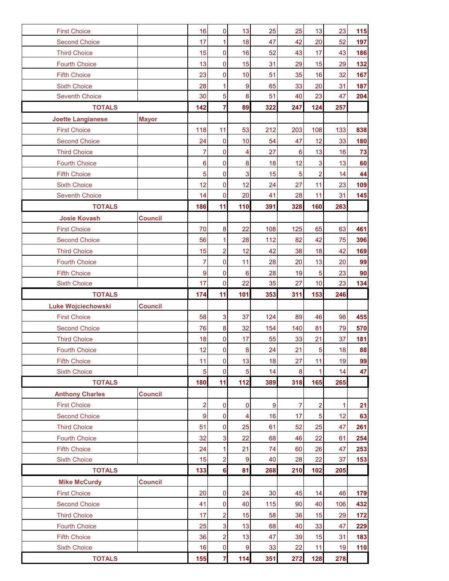| <b>First Choice</b>                         |                | 16             | 0              | 13                      | 25  | 25             | 13             | 23  | 115      |
|---------------------------------------------|----------------|----------------|----------------|-------------------------|-----|----------------|----------------|-----|----------|
| <b>Second Choice</b>                        |                | 17             | 1              | 18                      | 47  | 42             | 20             | 52  | 197      |
| <b>Third Choice</b>                         |                | 15             | 0              | 16                      | 52  | 43             | 17             | 43  | 186      |
| <b>Fourth Choice</b>                        |                | 13             | 0              | 15                      | 31  | 29             | 15             | 29  | 132      |
| <b>Fifth Choice</b>                         |                | 23             | 0              | 10                      | 51  | 35             | 16             | 32  | 167      |
| <b>Sixth Choice</b>                         |                | 28             | 1              | $\boldsymbol{9}$        | 65  | 33             | 20             | 31  | 187      |
| <b>Seventh Choice</b>                       |                | 30             | 5              | 8                       | 51  | 40             | 23             | 47  | 204      |
| <b>TOTALS</b>                               |                | 142            | $\overline{7}$ | 89                      | 322 | 247            | 124            | 257 |          |
| <b>Joette Langianese</b>                    | <b>Mayor</b>   |                |                |                         |     |                |                |     |          |
| <b>First Choice</b>                         |                | 118            | 11             | 53                      | 212 | 203            | 108            | 133 | 838      |
| <b>Second Choice</b>                        |                | 24             | $\overline{0}$ | 10                      | 54  | 47             | 12             | 33  | 180      |
| <b>Third Choice</b>                         |                | $\overline{7}$ | 0              | 4                       | 27  | 6              | 13             | 16  | 73       |
| <b>Fourth Choice</b>                        |                | 6              | $\overline{0}$ | $\bf 8$                 | 18  | 12             | 3              | 13  | 60       |
| <b>Fifth Choice</b>                         |                | 5              | 0              | $\overline{3}$          | 15  | 5              | $\overline{a}$ | 14  | 44       |
| <b>Sixth Choice</b>                         |                | 12             | $\mathbf 0$    | 12                      | 24  | 27             | 11             | 23  | 109      |
| <b>Seventh Choice</b>                       |                | 14             | $\overline{0}$ | 20                      | 41  | 28             | 11             | 31  | 145      |
| <b>TOTALS</b>                               |                | 186            | 11             | 110                     | 391 | 328            | 160            | 263 |          |
| <b>Josie Kovash</b>                         | <b>Council</b> |                |                |                         |     |                |                |     |          |
| <b>First Choice</b>                         |                | 70             | 8              | 22                      | 108 | 125            | 65             | 63  | 461      |
| <b>Second Choice</b>                        |                | 56             | 1              | 28                      | 112 | 82             | 42             | 75  | 396      |
| <b>Third Choice</b>                         |                | 15             | $\overline{2}$ | 12                      | 42  | 38             | 18             | 42  | 169      |
| <b>Fourth Choice</b>                        |                | $\overline{7}$ | 0              | 11                      | 28  | 20             | 13             | 20  | 99       |
| <b>Fifth Choice</b>                         |                | 9              | 0              | $6\phantom{1}6$         | 28  | 19             | $\overline{5}$ | 23  | 90       |
| <b>Sixth Choice</b>                         |                | 17             | $\pmb{0}$      | 22                      | 35  | 27             | 10             | 23  | 134      |
|                                             |                |                |                |                         |     |                |                |     |          |
| <b>TOTALS</b>                               |                | 174            | 11             | 101                     | 353 | 311            | 153            | 246 |          |
|                                             |                |                |                |                         |     |                |                |     |          |
| <b>Luke Wojciechowski</b>                   | <b>Council</b> | 58             | 3              | 37                      | 124 | 89             | 46             | 98  |          |
| <b>First Choice</b>                         |                | 76             | 8              |                         | 154 | 140            | 81             | 79  | 455      |
| <b>Second Choice</b><br><b>Third Choice</b> |                | 18             | 0              | 32<br>17                | 55  | 33             | 21             | 37  | 570      |
| <b>Fourth Choice</b>                        |                | 12             | $\pmb{0}$      | 8                       | 24  | 21             | $\overline{5}$ | 18  | 181      |
| <b>Fifth Choice</b>                         |                | 11             | 0              | 13                      | 18  | 27             | 11             | 19  |          |
| <b>Sixth Choice</b>                         |                | 5              | 0              | 5                       | 14  | 8              | 1              | 14  | 99<br>47 |
| <b>TOTALS</b>                               |                | 180            | 11             | 112                     | 389 | 318            | 165            | 265 |          |
| <b>Anthony Charles</b>                      | <b>Council</b> |                |                |                         |     |                |                |     | 88       |
| <b>First Choice</b>                         |                | $\overline{2}$ | $\mathbf 0$    | 0                       | 9   | $\overline{7}$ | $\overline{2}$ | 1   | 21       |
| <b>Second Choice</b>                        |                | 9              | 0              | $\overline{\mathbf{4}}$ | 16  | 17             | 5              | 12  | 63       |
| <b>Third Choice</b>                         |                | 51             | $\mathbf 0$    | 25                      | 61  | 52             | 25             | 47  | 261      |
| <b>Fourth Choice</b>                        |                | 32             | 3              | 22                      | 68  | 46             | 22             | 61  | 254      |
| <b>Fifth Choice</b>                         |                | 24             | 1              | 21                      | 74  | 60             | 26             | 47  | 253      |
| <b>Sixth Choice</b>                         |                | 15             | $\overline{2}$ | $\boldsymbol{9}$        | 40  | 28             | 22             | 37  | 153      |
| <b>TOTALS</b>                               |                | 133            | $6\phantom{a}$ | 81                      | 268 | 210            | 102            | 205 |          |
| <b>Mike McCurdy</b>                         | <b>Council</b> |                |                |                         |     |                |                |     |          |
| <b>First Choice</b>                         |                | 20             | 0              | 24                      | 30  | 45             | 14             | 46  | 179      |
| <b>Second Choice</b>                        |                | 41             | 0              | 40                      | 115 | 90             | 40             | 106 | 432      |
| <b>Third Choice</b>                         |                | 17             | $\overline{2}$ | 15                      | 58  | 36             | 15             | 29  | 172      |
| <b>Fourth Choice</b>                        |                | 25             | 3              | 13                      | 68  | 40             | 33             | 47  | 229      |
| <b>Fifth Choice</b>                         |                | 36             | $\overline{2}$ | 13                      | 47  | 39             | 15             | 31  | 183      |
| <b>Sixth Choice</b>                         |                | 16             | 0              | $\boldsymbol{9}$        | 33  | 22             | 11             | 19  | 110      |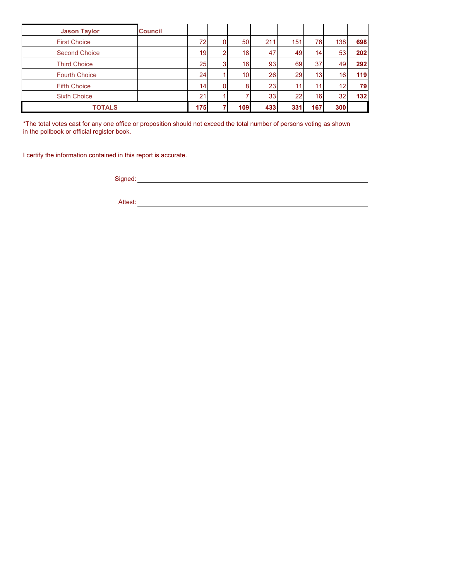| <b>Jason Taylor</b>  | <b>Council</b> |                 |   |                 |                 |           |                 |                 |     |
|----------------------|----------------|-----------------|---|-----------------|-----------------|-----------|-----------------|-----------------|-----|
| <b>First Choice</b>  |                | 72 <sub>1</sub> |   | 50              | 211             | 151       | 76              | 138             | 698 |
| <b>Second Choice</b> |                | 19 <sup>l</sup> | ົ | 18              | 47              | 49        | 141             | 53              | 202 |
| <b>Third Choice</b>  |                | 25              | 3 | 16 <sub>1</sub> | 93 <sub>1</sub> | 69        | 37              | 49              | 292 |
| <b>Fourth Choice</b> |                | 24              |   | 10 <sub>1</sub> | 26              | <b>29</b> | 13 <sup>1</sup> | 16 <sup>1</sup> | 119 |
| <b>Fifth Choice</b>  |                | 14 <sub>1</sub> |   | 8               | 23              | 11        |                 |                 | 79  |
| <b>Sixth Choice</b>  |                | 21              |   |                 | 33              | 22        | 16 <sup>1</sup> | 32              | 132 |
| <b>TOTALS</b>        |                | 175             |   | 109             | 433             | 331       | 167             | 300             |     |

\*The total votes cast for any one office or proposition should not exceed the total number of persons voting as shown in the pollbook or official register book.

I certify the information contained in this report is accurate.

Signed: experience of the state of the state of the state of the state of the state of the state of the state of the state of the state of the state of the state of the state of the state of the state of the state of the s

Attest: **Attest: Attest: Attest: Attest: Attest: Attest: Attest: Attest: Attest: Attest: Attest: Attest: Attest: Attest: Attest: Attest: Attest: Attest: Attest: Attest: Attest: Att**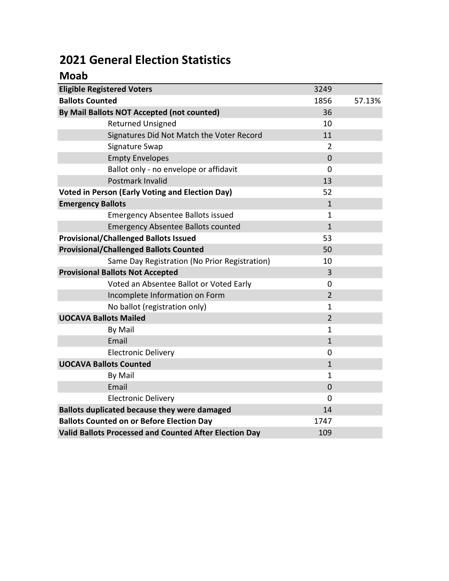## 2021 General Election Statistics

### Moab

| <b>Eligible Registered Voters</b>                      | 3249           |        |
|--------------------------------------------------------|----------------|--------|
| <b>Ballots Counted</b>                                 | 1856           | 57.13% |
| By Mail Ballots NOT Accepted (not counted)             | 36             |        |
| <b>Returned Unsigned</b>                               | 10             |        |
| Signatures Did Not Match the Voter Record              | 11             |        |
| Signature Swap                                         | 2              |        |
| <b>Empty Envelopes</b>                                 | $\overline{0}$ |        |
| Ballot only - no envelope or affidavit                 | 0              |        |
| Postmark Invalid                                       | 13             |        |
| <b>Voted in Person (Early Voting and Election Day)</b> | 52             |        |
| <b>Emergency Ballots</b>                               | $\mathbf{1}$   |        |
| <b>Emergency Absentee Ballots issued</b>               | 1              |        |
| <b>Emergency Absentee Ballots counted</b>              | $\mathbf{1}$   |        |
| <b>Provisional/Challenged Ballots Issued</b>           | 53             |        |
| <b>Provisional/Challenged Ballots Counted</b>          | 50             |        |
| Same Day Registration (No Prior Registration)          | 10             |        |
| <b>Provisional Ballots Not Accepted</b>                | 3              |        |
| Voted an Absentee Ballot or Voted Early                | 0              |        |
| Incomplete Information on Form                         | $\overline{2}$ |        |
| No ballot (registration only)                          | 1              |        |
| <b>UOCAVA Ballots Mailed</b>                           | $\overline{2}$ |        |
| By Mail                                                | $\mathbf{1}$   |        |
| Email                                                  | $\mathbf{1}$   |        |
| <b>Electronic Delivery</b>                             | 0              |        |
| <b>UOCAVA Ballots Counted</b>                          | $\mathbf{1}$   |        |
| By Mail                                                | $\mathbf{1}$   |        |
| Email                                                  | $\mathbf 0$    |        |
| <b>Electronic Delivery</b>                             | 0              |        |
| <b>Ballots duplicated because they were damaged</b>    | 14             |        |
| <b>Ballots Counted on or Before Election Day</b>       | 1747           |        |
| Valid Ballots Processed and Counted After Election Day | 109            |        |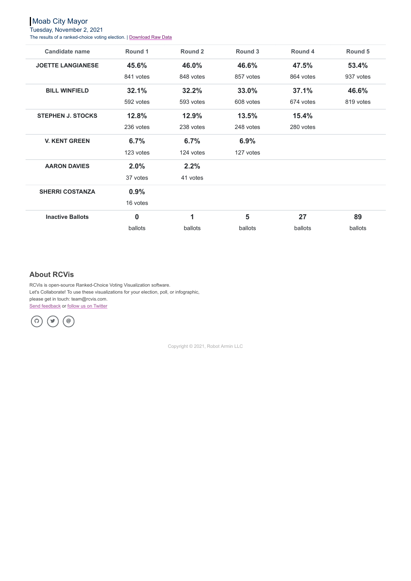Moab City Mayor

Tuesday, November 2, 2021

The results of a ranked-choice voting election. | [Download](https://www.rcvis.com/raw/moab-mayor-canvass) Raw Data

RCVis is open-source Ranked-Choice Voting Visualization software. Let's Collaborate! To use these visualizations for your election, poll, or infographic, please get in touch: team@rcvis.com. Send [feedback](https://docs.google.com/forms/d/e/1FAIpQLSdwMw6xYNyxbZiEtuB0G9F7avQhkLY_jmlXjNOBPA01qR4y3g/viewform?usp=sf_link) or follow us on [Twitter](https://twitter.com/rcvisdotcom)

| <b>Candidate name</b>    | <b>Round 1</b>   | <b>Round 2</b> | <b>Round 3</b> | Round 4   | <b>Round 5</b> |
|--------------------------|------------------|----------------|----------------|-----------|----------------|
| <b>JOETTE LANGIANESE</b> | 45.6%            | 46.0%          | 46.6%          | 47.5%     | 53.4%          |
|                          | 841 votes        | 848 votes      | 857 votes      | 864 votes | 937 votes      |
| <b>BILL WINFIELD</b>     | 32.1%            | 32.2%          | 33.0%          | 37.1%     | 46.6%          |
|                          | 592 votes        | 593 votes      | 608 votes      | 674 votes | 819 votes      |
| <b>STEPHEN J. STOCKS</b> | 12.8%            | 12.9%          | 13.5%          | 15.4%     |                |
|                          | 236 votes        | 238 votes      | 248 votes      | 280 votes |                |
| <b>V. KENT GREEN</b>     | 6.7%             | 6.7%           | 6.9%           |           |                |
|                          | 123 votes        | 124 votes      | 127 votes      |           |                |
| <b>AARON DAVIES</b>      | 2.0%             | 2.2%           |                |           |                |
|                          | 37 votes         | 41 votes       |                |           |                |
| <b>SHERRI COSTANZA</b>   | 0.9%             |                |                |           |                |
|                          | 16 votes         |                |                |           |                |
| <b>Inactive Ballots</b>  | $\boldsymbol{0}$ | $\mathbf 1$    | 5              | 27        | 89             |
|                          | ballots          | ballots        | ballots        | ballots   | ballots        |

Copyright © 2021, Robot Armin LLC

### **About RCVis**

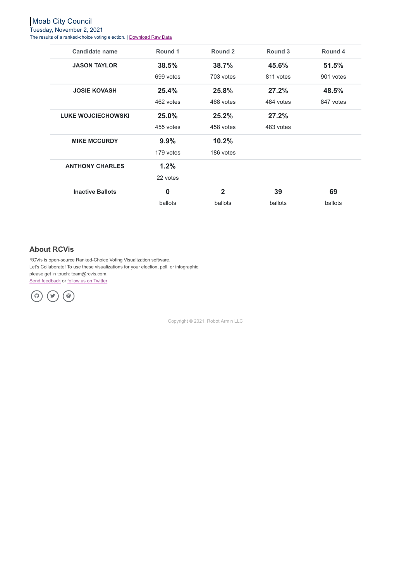# Moab City Council

Tuesday, November 2, 2021

The results of a ranked-choice voting election. | [Download](https://www.rcvis.com/raw/moab-council-seat-1-canvass) Raw Data

RCVis is open-source Ranked-Choice Voting Visualization software. Let's Collaborate! To use these visualizations for your election, poll, or infographic, please get in touch: team@rcvis.com. Send [feedback](https://docs.google.com/forms/d/e/1FAIpQLSdwMw6xYNyxbZiEtuB0G9F7avQhkLY_jmlXjNOBPA01qR4y3g/viewform?usp=sf_link) or follow us on [Twitter](https://twitter.com/rcvisdotcom)

| <b>Candidate name</b>     | Round 1          | <b>Round 2</b> | Round 3   | <b>Round 4</b> |
|---------------------------|------------------|----------------|-----------|----------------|
| <b>JASON TAYLOR</b>       | 38.5%            | 38.7%          | 45.6%     | 51.5%          |
|                           | 699 votes        | 703 votes      | 811 votes | 901 votes      |
| <b>JOSIE KOVASH</b>       | 25.4%            | 25.8%          | 27.2%     | 48.5%          |
|                           | 462 votes        | 468 votes      | 484 votes | 847 votes      |
| <b>LUKE WOJCIECHOWSKI</b> | 25.0%            | 25.2%          | 27.2%     |                |
|                           | 455 votes        | 458 votes      | 483 votes |                |
| <b>MIKE MCCURDY</b>       | 9.9%             | 10.2%          |           |                |
|                           | 179 votes        | 186 votes      |           |                |
| <b>ANTHONY CHARLES</b>    | 1.2%             |                |           |                |
|                           | 22 votes         |                |           |                |
| <b>Inactive Ballots</b>   | $\boldsymbol{0}$ | $\overline{2}$ | 39        | 69             |
|                           | ballots          | ballots        | ballots   | ballots        |

Copyright © 2021, Robot Armin LLC

#### **About RCVis**